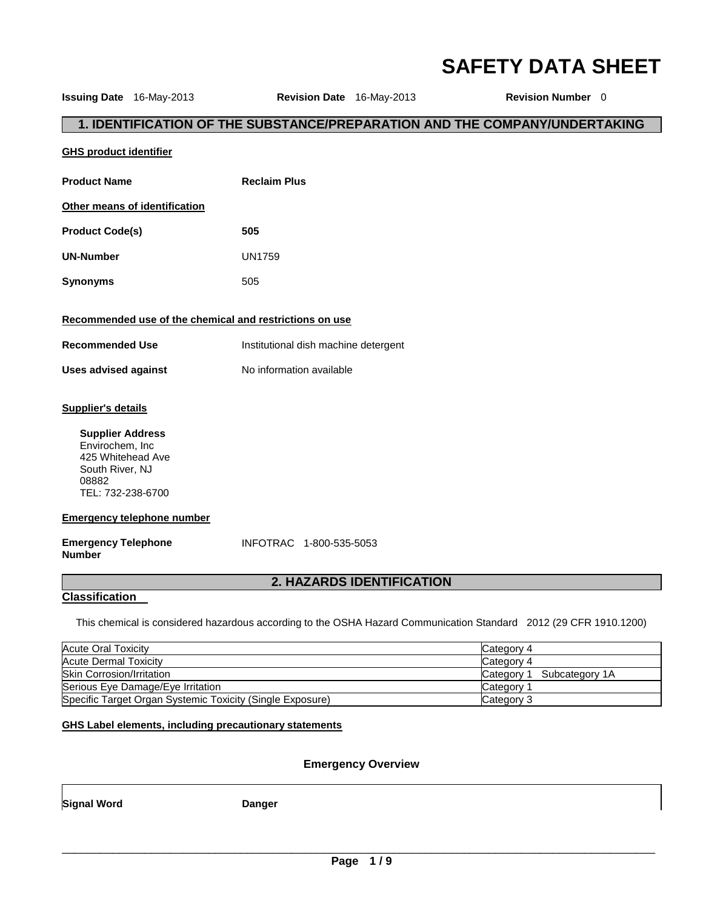# **SAFETY DATA SHEET**

| <b>Issuing Date</b> 16-May-2013                                                                                                                                                    | Revision Date 16-May-2013            |                           | Revision Number 0                                                          |
|------------------------------------------------------------------------------------------------------------------------------------------------------------------------------------|--------------------------------------|---------------------------|----------------------------------------------------------------------------|
|                                                                                                                                                                                    |                                      |                           | 1. IDENTIFICATION OF THE SUBSTANCE/PREPARATION AND THE COMPANY/UNDERTAKING |
| <b>GHS product identifier</b>                                                                                                                                                      |                                      |                           |                                                                            |
| <b>Product Name</b>                                                                                                                                                                | <b>Reclaim Plus</b>                  |                           |                                                                            |
| Other means of identification                                                                                                                                                      |                                      |                           |                                                                            |
| <b>Product Code(s)</b>                                                                                                                                                             | 505                                  |                           |                                                                            |
| <b>UN-Number</b>                                                                                                                                                                   | <b>UN1759</b>                        |                           |                                                                            |
| <b>Synonyms</b>                                                                                                                                                                    | 505                                  |                           |                                                                            |
| Recommended use of the chemical and restrictions on use                                                                                                                            |                                      |                           |                                                                            |
| <b>Recommended Use</b>                                                                                                                                                             | Institutional dish machine detergent |                           |                                                                            |
| <b>Uses advised against</b>                                                                                                                                                        | No information available             |                           |                                                                            |
| <b>Supplier's details</b><br><b>Supplier Address</b><br>Envirochem, Inc<br>425 Whitehead Ave<br>South River, NJ<br>08882<br>TEL: 732-238-6700<br><b>Emergency telephone number</b> |                                      |                           |                                                                            |
| <b>Emergency Telephone</b><br><b>Number</b>                                                                                                                                        | INFOTRAC 1-800-535-5053              |                           |                                                                            |
|                                                                                                                                                                                    |                                      | 2. HAZARDS IDENTIFICATION |                                                                            |
| <b>Classification</b>                                                                                                                                                              |                                      |                           |                                                                            |

This chemical is considered hazardous according to the OSHA Hazard Communication Standard 2012 (29 CFR 1910.1200)

| <b>Acute Oral Toxicity</b>                                | Category 4                   |
|-----------------------------------------------------------|------------------------------|
| Acute Dermal Toxicity                                     | Category 4                   |
| <b>Skin Corrosion/Irritation</b>                          | Subcategory 1A<br>Category 1 |
| Serious Eye Damage/Eye Irritation                         | Category                     |
| Specific Target Organ Systemic Toxicity (Single Exposure) | Category 3                   |

**GHS Label elements, including precautionary statements**

# **Emergency Overview**

**Signal Word Communist Communist Communist Communist Danger**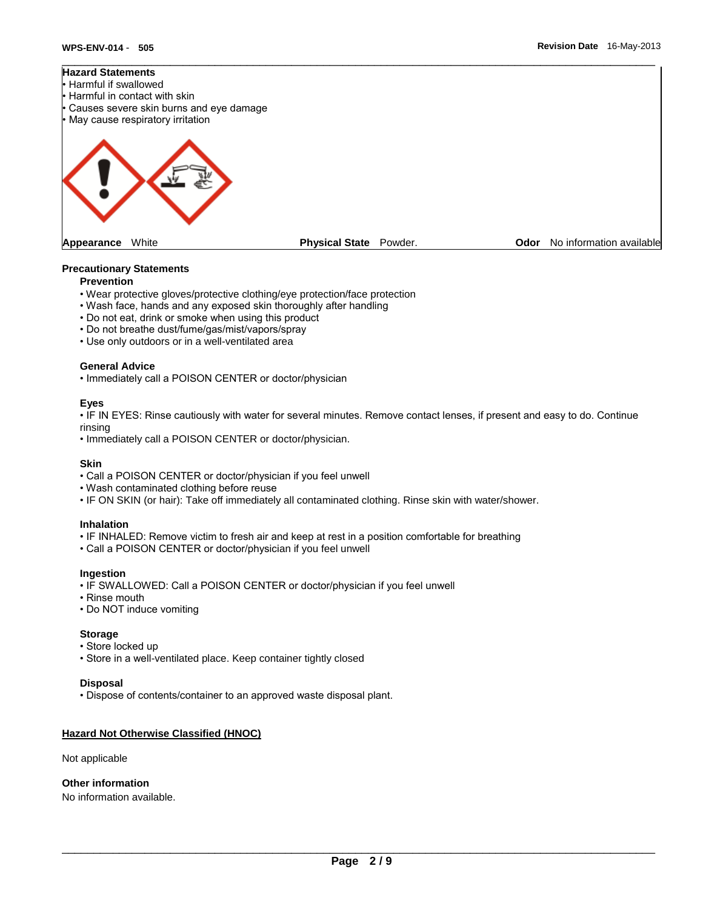

#### **Precautionary Statements**

#### **Prevention**

- Wear protective gloves/protective clothing/eye protection/face protection
- Wash face, hands and any exposed skin thoroughly after handling
- Do not eat, drink or smoke when using this product
- Do not breathe dust/fume/gas/mist/vapors/spray
- Use only outdoors or in a well-ventilated area

#### **General Advice**

• Immediately call a POISON CENTER or doctor/physician

#### **Eyes**

• IF IN EYES: Rinse cautiously with water for several minutes. Remove contact lenses, if present and easy to do. Continue rinsing

• Immediately call a POISON CENTER or doctor/physician.

#### **Skin**

- Call a POISON CENTER or doctor/physician if you feel unwell
- Wash contaminated clothing before reuse
- IF ON SKIN (or hair): Take off immediately all contaminated clothing. Rinse skin with water/shower.

#### **Inhalation**

- IF INHALED: Remove victim to fresh air and keep at rest in a position comfortable for breathing
- Call a POISON CENTER or doctor/physician if you feel unwell

#### **Ingestion**

- IF SWALLOWED: Call a POISON CENTER or doctor/physician if you feel unwell
- Rinse mouth
- Do NOT induce vomiting

#### **Storage**

- Store locked up
- Store in a well-ventilated place. Keep container tightly closed

#### **Disposal**

• Dispose of contents/container to an approved waste disposal plant.

# **Hazard Not Otherwise Classified (HNOC)**

Not applicable

**Other information** 

No information available.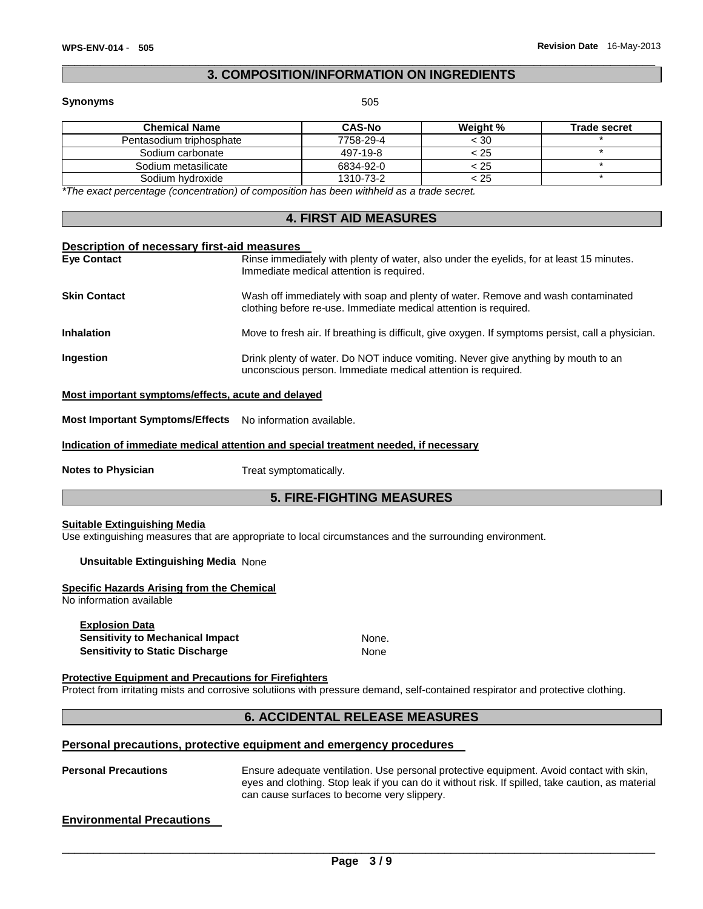# \_\_\_\_\_\_\_\_\_\_\_\_\_\_\_\_\_\_\_\_\_\_\_\_\_\_\_\_\_\_\_\_\_\_\_\_\_\_\_\_\_\_\_\_\_\_\_\_\_\_\_\_\_\_\_\_\_\_\_\_\_\_\_\_\_\_\_\_\_\_\_\_\_\_\_\_\_\_\_\_\_\_\_\_\_\_\_\_\_\_\_\_\_ **3. COMPOSITION/INFORMATION ON INGREDIENTS**

#### **Synonyms** 505

| <b>CAS-No</b> | <b>Weight</b> % | <b>Trade secret</b> |
|---------------|-----------------|---------------------|
| 7758-29-4     | $<$ 30          |                     |
| 497-19-8      | < 25            |                     |
| 6834-92-0     | < 25            |                     |
| 1310-73-2     | < 25            |                     |
|               |                 |                     |

*\*The exact percentage (concentration) of composition has been withheld as a trade secret.* 

# **4. FIRST AID MEASURES**

#### **Description of necessary first-aid measures**

| <b>Eve Contact</b>  | Rinse immediately with plenty of water, also under the eyelids, for at least 15 minutes.<br>Immediate medical attention is required.                 |
|---------------------|------------------------------------------------------------------------------------------------------------------------------------------------------|
| <b>Skin Contact</b> | Wash off immediately with soap and plenty of water. Remove and wash contaminated<br>clothing before re-use. Immediate medical attention is required. |
| <b>Inhalation</b>   | Move to fresh air. If breathing is difficult, give oxygen. If symptoms persist, call a physician.                                                    |
| <b>Ingestion</b>    | Drink plenty of water. Do NOT induce vomiting. Never give anything by mouth to an<br>unconscious person. Immediate medical attention is required.    |

#### **Most important symptoms/effects, acute and delayed**

**Most Important Symptoms/Effects** No information available.

**Indication of immediate medical attention and special treatment needed, if necessary**

**Notes to Physician**  Treat symptomatically.

# **5. FIRE-FIGHTING MEASURES**

#### **Suitable Extinguishing Media**

Use extinguishing measures that are appropriate to local circumstances and the surrounding environment.

# **Unsuitable Extinguishing Media** None

#### **Specific Hazards Arising from the Chemical**

No information available

#### **Explosion Data Sensitivity to Mechanical Impact Mone.** None. **Sensitivity to Static Discharge** None

#### **Protective Equipment and Precautions for Firefighters**

Protect from irritating mists and corrosive solutiions with pressure demand, self-contained respirator and protective clothing.

# **6. ACCIDENTAL RELEASE MEASURES**

#### **Personal precautions, protective equipment and emergency procedures**

Personal Precautions **Ensure adequate ventilation.** Use personal protective equipment. Avoid contact with skin, eyes and clothing. Stop leak if you can do it without risk. If spilled, take caution, as material can cause surfaces to become very slippery.

# **Environmental Precautions**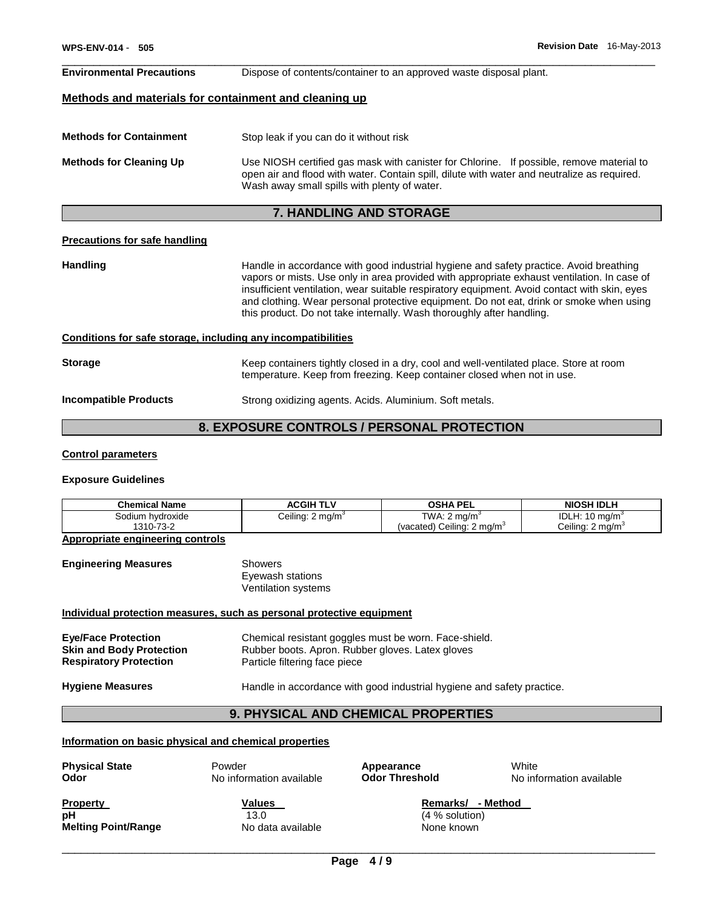#### \_\_\_\_\_\_\_\_\_\_\_\_\_\_\_\_\_\_\_\_\_\_\_\_\_\_\_\_\_\_\_\_\_\_\_\_\_\_\_\_\_\_\_\_\_\_\_\_\_\_\_\_\_\_\_\_\_\_\_\_\_\_\_\_\_\_\_\_\_\_\_\_\_\_\_\_\_\_\_\_\_\_\_\_\_\_\_\_\_\_\_\_\_ **Environmental Precautions** Dispose of contents/container to an approved waste disposal plant.

#### **Methods and materials for containment and cleaning up**

| <b>Methods for Containment</b> | Stop leak if you can do it without risk                                                                                                                                                                                                 |
|--------------------------------|-----------------------------------------------------------------------------------------------------------------------------------------------------------------------------------------------------------------------------------------|
| <b>Methods for Cleaning Up</b> | Use NIOSH certified gas mask with canister for Chlorine. If possible, remove material to<br>open air and flood with water. Contain spill, dilute with water and neutralize as required.<br>Wash away small spills with plenty of water. |

# **7. HANDLING AND STORAGE**

#### **Precautions for safe handling**

Handling **Handling Handle in accordance with good industrial hygiene and safety practice. Avoid breathing** vapors or mists. Use only in area provided with appropriate exhaust ventilation. In case of insufficient ventilation, wear suitable respiratory equipment. Avoid contact with skin, eyes and clothing. Wear personal protective equipment. Do not eat, drink or smoke when using this product. Do not take internally. Wash thoroughly after handling.

#### **Conditions for safe storage, including any incompatibilities**

| <b>Storage</b>        | Keep containers tightly closed in a dry, cool and well-ventilated place. Store at room<br>temperature. Keep from freezing. Keep container closed when not in use. |
|-----------------------|-------------------------------------------------------------------------------------------------------------------------------------------------------------------|
| Incompatible Products | Strong oxidizing agents. Acids. Aluminium. Soft metals.                                                                                                           |

# **8. EXPOSURE CONTROLS / PERSONAL PROTECTION**

#### **Control parameters**

#### **Exposure Guidelines**

| <b>Chemical Name</b> | ACGIH TLV                    | <b>OSHA PEL</b>                        | <b>NIOSH IDLH</b>            |
|----------------------|------------------------------|----------------------------------------|------------------------------|
| Sodium hydroxide     | Ceiling: 2 mg/m <sup>3</sup> | TWA: $2 \text{ mg/m}^3$                | IDLH: $10 \text{ mg/m}^3$    |
| 1310-73-2            |                              | (vacated) Ceiling: 2 mg/m <sup>3</sup> | Ceiling: 2 mg/m <sup>3</sup> |

**Appropriate engineering controls**

#### **Engineering Measures Showers** Eyewash stations

Ventilation systems

#### **Individual protection measures, such as personal protective equipment**

| <b>Eye/Face Protection</b>      | Chemical resistant goggles must be worn. Face-shield. |
|---------------------------------|-------------------------------------------------------|
| <b>Skin and Body Protection</b> | Rubber boots. Apron. Rubber gloves. Latex gloves      |
| <b>Respiratory Protection</b>   | Particle filtering face piece                         |

**Hygiene Measures** Handle in accordance with good industrial hygiene and safety practice.

#### **9. PHYSICAL AND CHEMICAL PROPERTIES**

#### **Information on basic physical and chemical properties**

**Physical State** Powder **Appearance** White

**Odor No information available Odor Threshold No information available Odor Threshold No information available** 

**pH 13.0** (4 % solution) **Melting Point/Range No data available None known** 

**Property CONSISTED METHOD Values Remarks/ - Method Remarks/ - Method**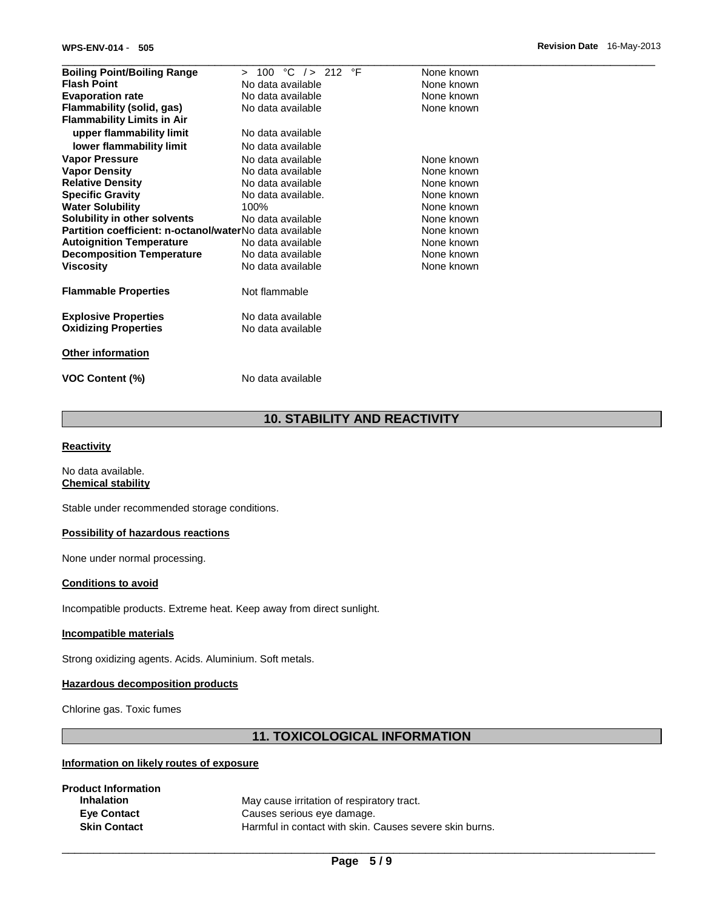| <b>Boiling Point/Boiling Range</b>                      | °C $/>$ 212<br>$\circ$ F<br>100<br>$\mathbf{r}$ | None known |
|---------------------------------------------------------|-------------------------------------------------|------------|
| <b>Flash Point</b>                                      | No data available                               | None known |
| <b>Evaporation rate</b>                                 | No data available                               | None known |
| Flammability (solid, gas)                               | No data available                               | None known |
| <b>Flammability Limits in Air</b>                       |                                                 |            |
| upper flammability limit                                | No data available                               |            |
| lower flammability limit                                | No data available                               |            |
| <b>Vapor Pressure</b>                                   | No data available                               | None known |
| <b>Vapor Density</b>                                    | No data available                               | None known |
| <b>Relative Density</b>                                 | No data available                               | None known |
| <b>Specific Gravity</b>                                 | No data available.                              | None known |
| <b>Water Solubility</b>                                 | 100%                                            | None known |
| Solubility in other solvents                            | No data available                               | None known |
| Partition coefficient: n-octanol/waterNo data available |                                                 | None known |
| <b>Autoignition Temperature</b>                         | No data available                               | None known |
| <b>Decomposition Temperature</b>                        | No data available                               | None known |
| <b>Viscosity</b>                                        | No data available                               | None known |
| <b>Flammable Properties</b>                             | Not flammable                                   |            |
| <b>Explosive Properties</b>                             | No data available                               |            |
| <b>Oxidizing Properties</b>                             | No data available                               |            |
| <b>Other information</b>                                |                                                 |            |
| <b>VOC Content (%)</b>                                  | No data available                               |            |

# **10. STABILITY AND REACTIVITY**

#### **Reactivity**

No data available. **Chemical stability**

Stable under recommended storage conditions.

# **Possibility of hazardous reactions**

None under normal processing.

### **Conditions to avoid**

Incompatible products. Extreme heat. Keep away from direct sunlight.

#### **Incompatible materials**

Strong oxidizing agents. Acids. Aluminium. Soft metals.

#### **Hazardous decomposition products**

Chlorine gas. Toxic fumes

# **11. TOXICOLOGICAL INFORMATION**

# **Information on likely routes of exposure**

| May cause irritation of respiratory tract.              |
|---------------------------------------------------------|
| Causes serious eye damage.                              |
| Harmful in contact with skin. Causes severe skin burns. |
|                                                         |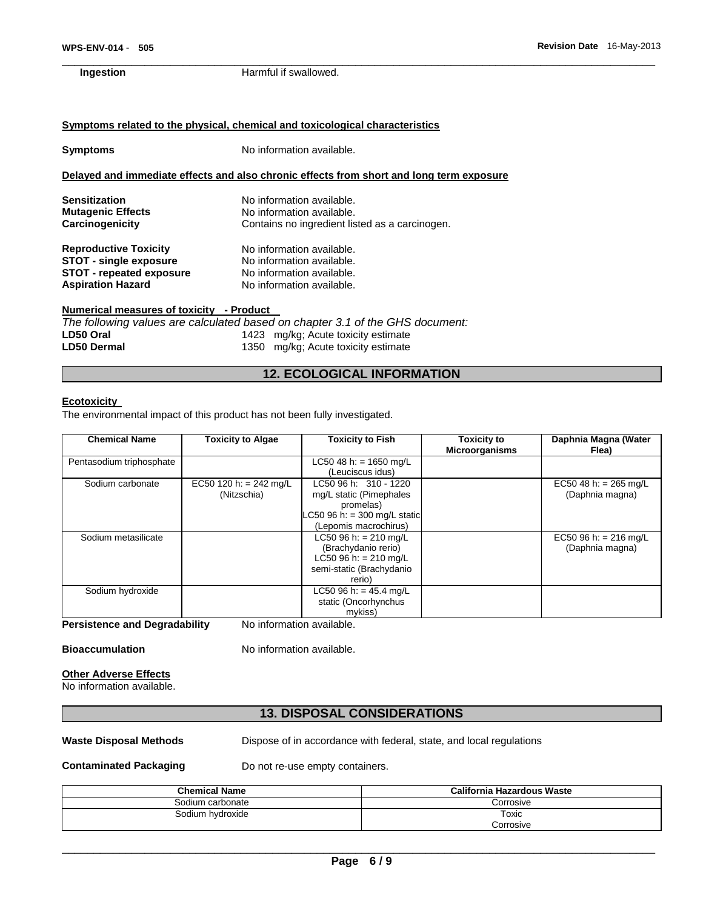#### **WPS-ENV-014** - **505 Revision Date** 16-May-2013

### **Symptoms related to the physical, chemical and toxicological characteristics**

| Symptoms                                                                                                                     | No information available.                                                                                        |  |
|------------------------------------------------------------------------------------------------------------------------------|------------------------------------------------------------------------------------------------------------------|--|
|                                                                                                                              | Delayed and immediate effects and also chronic effects from short and long term exposure                         |  |
| <b>Sensitization</b><br><b>Mutagenic Effects</b>                                                                             | No information available.<br>No information available.                                                           |  |
| Carcinogenicity                                                                                                              | Contains no ingredient listed as a carcinogen.                                                                   |  |
| <b>Reproductive Toxicity</b><br><b>STOT - single exposure</b><br><b>STOT - repeated exposure</b><br><b>Aspiration Hazard</b> | No information available.<br>No information available.<br>No information available.<br>No information available. |  |

# **Numerical measures of toxicity - Product**

|             | The following values are calculated based on chapter 3.1 of the GHS document: |
|-------------|-------------------------------------------------------------------------------|
| LD50 Oral   | 1423 mg/kg; Acute toxicity estimate                                           |
| LD50 Dermal | 1350 mg/kg; Acute toxicity estimate                                           |

# **12. ECOLOGICAL INFORMATION**

### **Ecotoxicity**

The environmental impact of this product has not been fully investigated.

| <b>Chemical Name</b>     | <b>Toxicity to Algae</b> | <b>Toxicity to Fish</b>      | <b>Toxicity to</b><br><b>Microorganisms</b> | Daphnia Magna (Water<br>Flea) |
|--------------------------|--------------------------|------------------------------|---------------------------------------------|-------------------------------|
| Pentasodium triphosphate |                          | LC50 48 h: = $1650$ mg/L     |                                             |                               |
|                          |                          | (Leuciscus idus)             |                                             |                               |
| Sodium carbonate         | EC50 120 h: = 242 mg/L   | LC50 96 h: 310 - 1220        |                                             | EC50 48 h: = 265 mg/L         |
|                          | (Nitzschia)              | mg/L static (Pimephales      |                                             | (Daphnia magna)               |
|                          |                          | promelas)                    |                                             |                               |
|                          |                          | LC50 96 h: = 300 mg/L static |                                             |                               |
|                          |                          | (Lepomis macrochirus)        |                                             |                               |
| Sodium metasilicate      |                          | LC50 96 h: $= 210$ mg/L      |                                             | EC50 96 h: = 216 mg/L         |
|                          |                          | (Brachydanio rerio)          |                                             | (Daphnia magna)               |
|                          |                          | LC50 96 h: = $210$ mg/L      |                                             |                               |
|                          |                          | semi-static (Brachydanio     |                                             |                               |
|                          |                          | rerio)                       |                                             |                               |
| Sodium hydroxide         |                          | LC50 96 h: = $45.4$ mg/L     |                                             |                               |
|                          |                          | static (Oncorhynchus         |                                             |                               |
|                          |                          | mykiss)                      |                                             |                               |

**Persistence and Degradability** No information available.

**Bioaccumulation** No information available.

# **Other Adverse Effects**

No information available.

# **13. DISPOSAL CONSIDERATIONS**

**Waste Disposal Methods** Dispose of in accordance with federal, state, and local regulations

**Contaminated Packaging <b>Do not re-use empty containers.** 

| <b>Chemical Name</b> | California Hazardous Waste |  |
|----------------------|----------------------------|--|
| Sodium carbonate     | Corrosive                  |  |
| Sodium hydroxide     | Toxic<br>Corrosive         |  |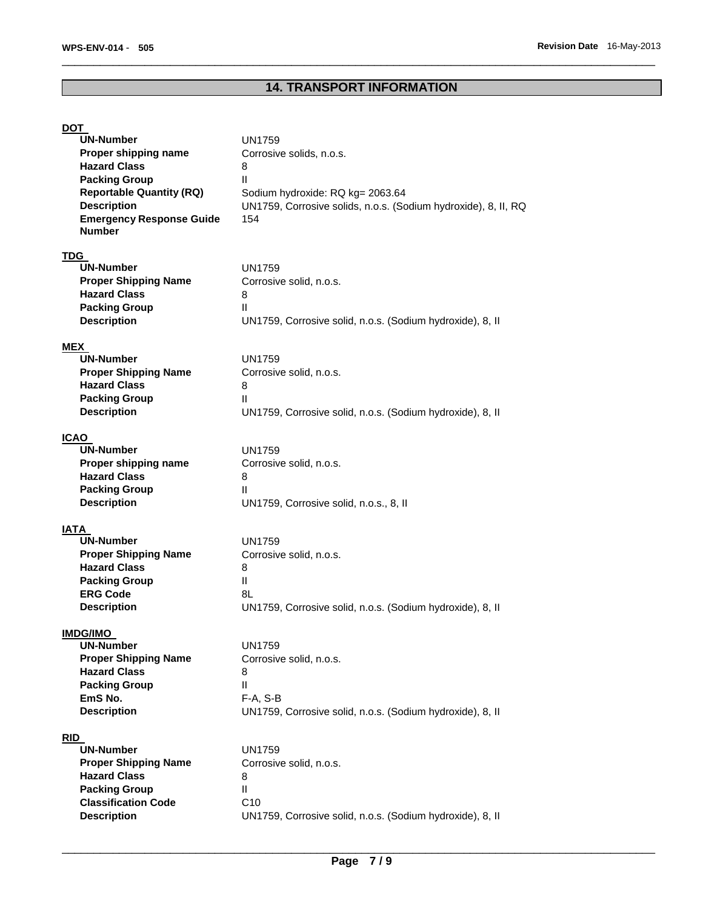# **14. TRANSPORT INFORMATION**

\_\_\_\_\_\_\_\_\_\_\_\_\_\_\_\_\_\_\_\_\_\_\_\_\_\_\_\_\_\_\_\_\_\_\_\_\_\_\_\_\_\_\_\_\_\_\_\_\_\_\_\_\_\_\_\_\_\_\_\_\_\_\_\_\_\_\_\_\_\_\_\_\_\_\_\_\_\_\_\_\_\_\_\_\_\_\_\_\_\_\_\_\_

# **DOT**

| <b>UN-Number</b>                                   | <b>UN1759</b>                                                  |
|----------------------------------------------------|----------------------------------------------------------------|
| Proper shipping name<br><b>Hazard Class</b>        | Corrosive solids, n.o.s.                                       |
| <b>Packing Group</b>                               | 8<br>Ш                                                         |
| <b>Reportable Quantity (RQ)</b>                    | Sodium hydroxide: RQ kg= 2063.64                               |
| <b>Description</b>                                 | UN1759, Corrosive solids, n.o.s. (Sodium hydroxide), 8, II, RQ |
| <b>Emergency Response Guide</b>                    | 154                                                            |
| <b>Number</b>                                      |                                                                |
| <b>TDG</b>                                         |                                                                |
| <b>UN-Number</b>                                   | UN1759                                                         |
| <b>Proper Shipping Name</b>                        | Corrosive solid, n.o.s.                                        |
| <b>Hazard Class</b>                                | 8                                                              |
| <b>Packing Group</b>                               | Ш                                                              |
| <b>Description</b>                                 | UN1759, Corrosive solid, n.o.s. (Sodium hydroxide), 8, II      |
| <b>MEX</b>                                         |                                                                |
| <b>UN-Number</b>                                   | UN1759                                                         |
| <b>Proper Shipping Name</b>                        | Corrosive solid, n.o.s.                                        |
| <b>Hazard Class</b><br><b>Packing Group</b>        | 8<br>Ш                                                         |
| <b>Description</b>                                 | UN1759, Corrosive solid, n.o.s. (Sodium hydroxide), 8, II      |
|                                                    |                                                                |
| <b>ICAO</b><br><b>UN-Number</b>                    | UN1759                                                         |
| Proper shipping name                               | Corrosive solid, n.o.s.                                        |
| <b>Hazard Class</b>                                | 8                                                              |
| <b>Packing Group</b>                               | Ш                                                              |
| <b>Description</b>                                 | UN1759, Corrosive solid, n.o.s., 8, II                         |
| IATA                                               |                                                                |
| <b>UN-Number</b>                                   | UN1759                                                         |
| <b>Proper Shipping Name</b>                        | Corrosive solid, n.o.s.                                        |
| <b>Hazard Class</b>                                | 8                                                              |
| <b>Packing Group</b>                               | $\mathbf{II}$                                                  |
| <b>ERG Code</b>                                    | 8L                                                             |
| <b>Description</b>                                 | UN1759, Corrosive solid, n.o.s. (Sodium hydroxide), 8, II      |
| <b>IMDG/IMO</b>                                    |                                                                |
| UN-Number                                          | <b>UN1759</b>                                                  |
| <b>Proper Shipping Name</b><br><b>Hazard Class</b> | Corrosive solid, n.o.s.                                        |
| <b>Packing Group</b>                               | 8<br>Ш                                                         |
| EmS No.                                            | F-A, S-B                                                       |
| <b>Description</b>                                 | UN1759, Corrosive solid, n.o.s. (Sodium hydroxide), 8, II      |
|                                                    |                                                                |
| <b>RID</b><br><b>UN-Number</b>                     | <b>UN1759</b>                                                  |
| <b>Proper Shipping Name</b>                        | Corrosive solid, n.o.s.                                        |
| <b>Hazard Class</b>                                | 8                                                              |
| <b>Packing Group</b>                               | $\mathsf{II}$                                                  |
| <b>Classification Code</b>                         | C10                                                            |
| <b>Description</b>                                 | UN1759, Corrosive solid, n.o.s. (Sodium hydroxide), 8, II      |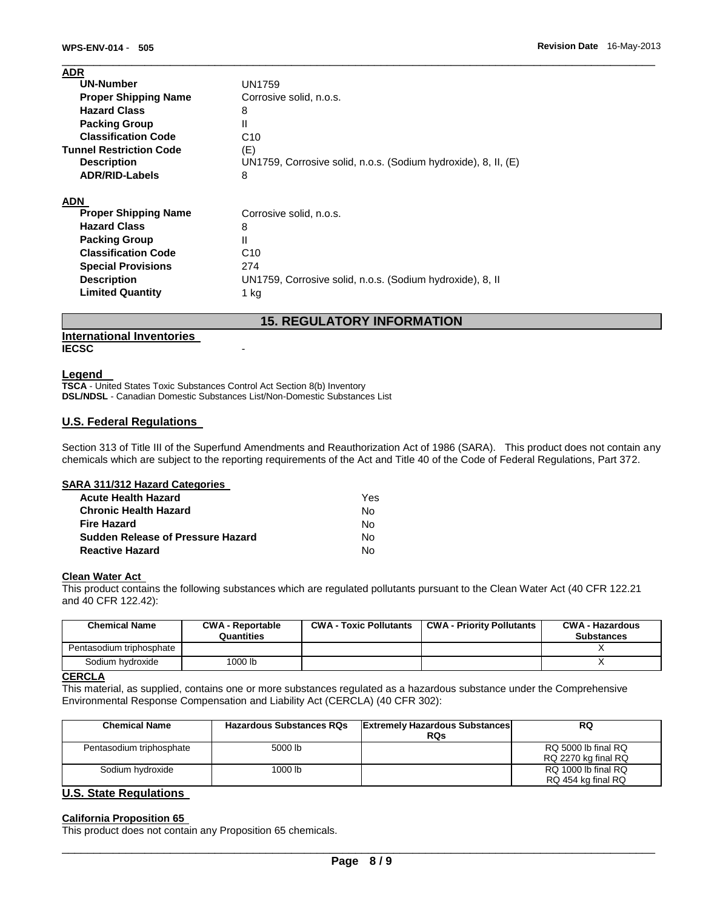| <b>ADR</b>                     |                                                                |
|--------------------------------|----------------------------------------------------------------|
| <b>UN-Number</b>               | <b>UN1759</b>                                                  |
| <b>Proper Shipping Name</b>    | Corrosive solid, n.o.s.                                        |
| <b>Hazard Class</b>            | 8                                                              |
| <b>Packing Group</b>           | Ш                                                              |
| <b>Classification Code</b>     | C <sub>10</sub>                                                |
| <b>Tunnel Restriction Code</b> | (E)                                                            |
| <b>Description</b>             | UN1759, Corrosive solid, n.o.s. (Sodium hydroxide), 8, II, (E) |
| <b>ADR/RID-Labels</b>          | 8                                                              |
| <b>ADN</b>                     |                                                                |
| <b>Proper Shipping Name</b>    | Corrosive solid, n.o.s.                                        |
| <b>Hazard Class</b>            | 8                                                              |
| <b>Packing Group</b>           | Ш                                                              |
| <b>Classification Code</b>     | C <sub>10</sub>                                                |
| <b>Special Provisions</b>      | 274                                                            |
| <b>Description</b>             | UN1759, Corrosive solid, n.o.s. (Sodium hydroxide), 8, II      |
| <b>Limited Quantity</b>        | $1$ kg                                                         |

# **15. REGULATORY INFORMATION**

# **International Inventories**

# **IECSC** -

#### **Legend**

**TSCA** - United States Toxic Substances Control Act Section 8(b) Inventory **DSL/NDSL** - Canadian Domestic Substances List/Non-Domestic Substances List

# **U.S. Federal Regulations**

Section 313 of Title III of the Superfund Amendments and Reauthorization Act of 1986 (SARA). This product does not contain any chemicals which are subject to the reporting requirements of the Act and Title 40 of the Code of Federal Regulations, Part 372.

#### **SARA 311/312 Hazard Categories**

| <b>Acute Health Hazard</b>        | Yes |
|-----------------------------------|-----|
| <b>Chronic Health Hazard</b>      | No. |
| <b>Fire Hazard</b>                | No. |
| Sudden Release of Pressure Hazard | No. |
| <b>Reactive Hazard</b>            | N٥  |

# **Clean Water Act**

This product contains the following substances which are regulated pollutants pursuant to the Clean Water Act (40 CFR 122.21 and 40 CFR 122.42):

| <b>Chemical Name</b>     | <b>CWA - Reportable</b><br>Quantities | <b>CWA - Toxic Pollutants</b> | <b>CWA - Priority Pollutants</b> | CWA - Hazardous<br><b>Substances</b> |
|--------------------------|---------------------------------------|-------------------------------|----------------------------------|--------------------------------------|
| Pentasodium triphosphate |                                       |                               |                                  |                                      |
| Sodium hydroxide         | 1000 lb                               |                               |                                  |                                      |

#### **CERCLA**

This material, as supplied, contains one or more substances regulated as a hazardous substance under the Comprehensive Environmental Response Compensation and Liability Act (CERCLA) (40 CFR 302):

| <b>Chemical Name</b>          | <b>Hazardous Substances RQs</b> | <b>Extremely Hazardous Substances</b> | <b>RQ</b>           |
|-------------------------------|---------------------------------|---------------------------------------|---------------------|
|                               |                                 | <b>RQs</b>                            |                     |
| Pentasodium triphosphate      | 5000 lb                         |                                       | RQ 5000 lb final RQ |
|                               |                                 |                                       | RQ 2270 kg final RQ |
| Sodium hydroxide              | 1000 lb                         |                                       | RQ 1000 lb final RQ |
|                               |                                 |                                       | RQ 454 kg final RQ  |
| <b>U.S. State Regulations</b> |                                 |                                       |                     |

# **California Proposition 65**

This product does not contain any Proposition 65 chemicals.